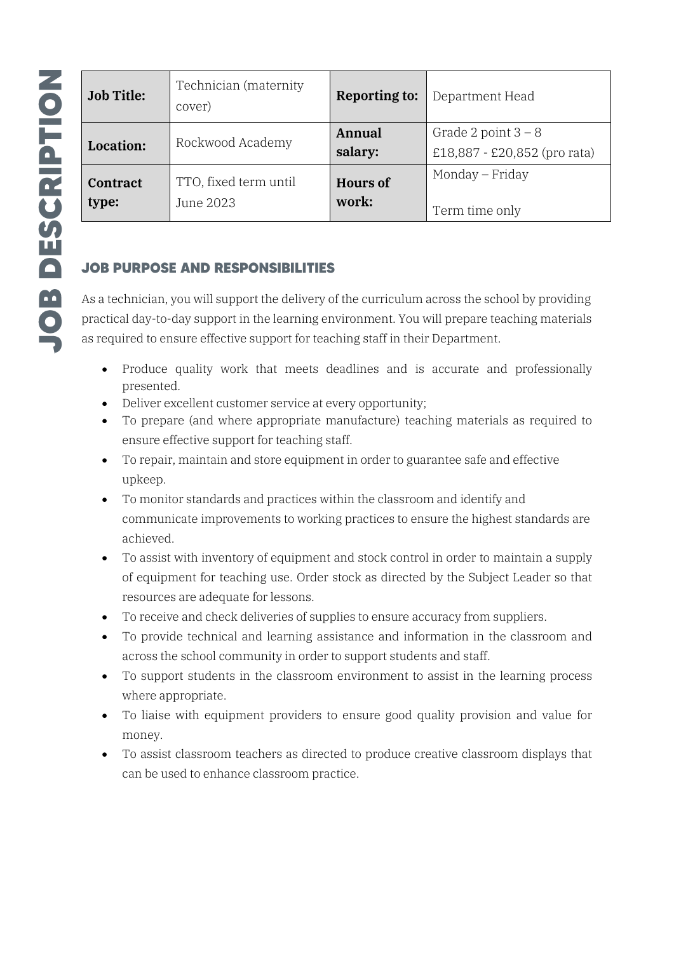| <b>Job Title:</b>        | Technician (maternity<br>cover)    | <b>Reporting to:</b>     | Department Head                                       |
|--------------------------|------------------------------------|--------------------------|-------------------------------------------------------|
| <b>Location:</b>         | Rockwood Academy                   | Annual<br>salary:        | Grade 2 point $3 - 8$<br>£18,887 - £20,852 (pro rata) |
| <b>Contract</b><br>type: | TTO, fixed term until<br>June 2023 | <b>Hours of</b><br>work: | Monday – Friday<br>Term time only                     |

## **JOB PURPOSE AND RESPONSIBILITIES**

As a technician, you will support the delivery of the curriculum across the school by providing practical day-to-day support in the learning environment. You will prepare teaching materials as required to ensure effective support for teaching staff in their Department.

- Produce quality work that meets deadlines and is accurate and professionally presented.
- Deliver excellent customer service at every opportunity;
- To prepare (and where appropriate manufacture) teaching materials as required to ensure effective support for teaching staff.
- To repair, maintain and store equipment in order to guarantee safe and effective upkeep.
- To monitor standards and practices within the classroom and identify and communicate improvements to working practices to ensure the highest standards are achieved.
- To assist with inventory of equipment and stock control in order to maintain a supply of equipment for teaching use. Order stock as directed by the Subject Leader so that resources are adequate for lessons.
- To receive and check deliveries of supplies to ensure accuracy from suppliers.
- To provide technical and learning assistance and information in the classroom and across the school community in order to support students and staff.
- To support students in the classroom environment to assist in the learning process where appropriate.
- To liaise with equipment providers to ensure good quality provision and value for money.
- To assist classroom teachers as directed to produce creative classroom displays that can be used to enhance classroom practice.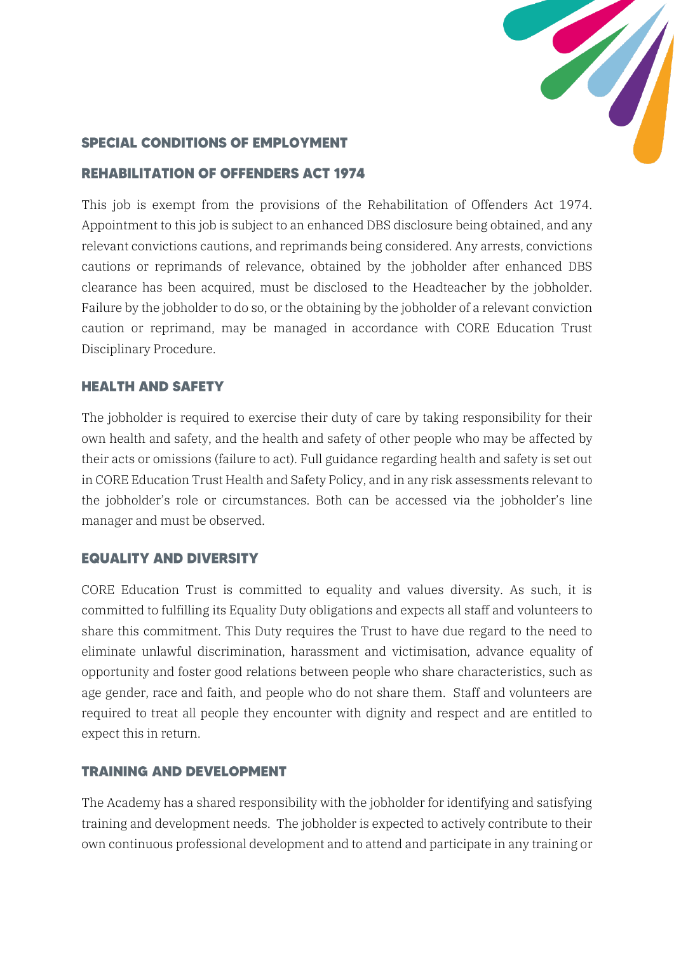

### **SPECIAL CONDITIONS OF EMPLOYMENT**

#### **REHABILITATION OF OFFENDERS ACT 1974**

This job is exempt from the provisions of the Rehabilitation of Offenders Act 1974. Appointment to this job is subject to an enhanced DBS disclosure being obtained, and any relevant convictions cautions, and reprimands being considered. Any arrests, convictions cautions or reprimands of relevance, obtained by the jobholder after enhanced DBS clearance has been acquired, must be disclosed to the Headteacher by the jobholder. Failure by the jobholder to do so, or the obtaining by the jobholder of a relevant conviction caution or reprimand, may be managed in accordance with CORE Education Trust Disciplinary Procedure.

#### **HEALTH AND SAFETY**

The jobholder is required to exercise their duty of care by taking responsibility for their own health and safety, and the health and safety of other people who may be affected by their acts or omissions (failure to act). Full guidance regarding health and safety is set out in CORE Education Trust Health and Safety Policy, and in any risk assessments relevant to the jobholder's role or circumstances. Both can be accessed via the jobholder's line manager and must be observed.

#### **EQUALITY AND DIVERSITY**

CORE Education Trust is committed to equality and values diversity. As such, it is committed to fulfilling its Equality Duty obligations and expects all staff and volunteers to share this commitment. This Duty requires the Trust to have due regard to the need to eliminate unlawful discrimination, harassment and victimisation, advance equality of opportunity and foster good relations between people who share characteristics, such as age gender, race and faith, and people who do not share them. Staff and volunteers are required to treat all people they encounter with dignity and respect and are entitled to expect this in return.

#### **TRAINING AND DEVELOPMENT**

The Academy has a shared responsibility with the jobholder for identifying and satisfying training and development needs. The jobholder is expected to actively contribute to their own continuous professional development and to attend and participate in any training or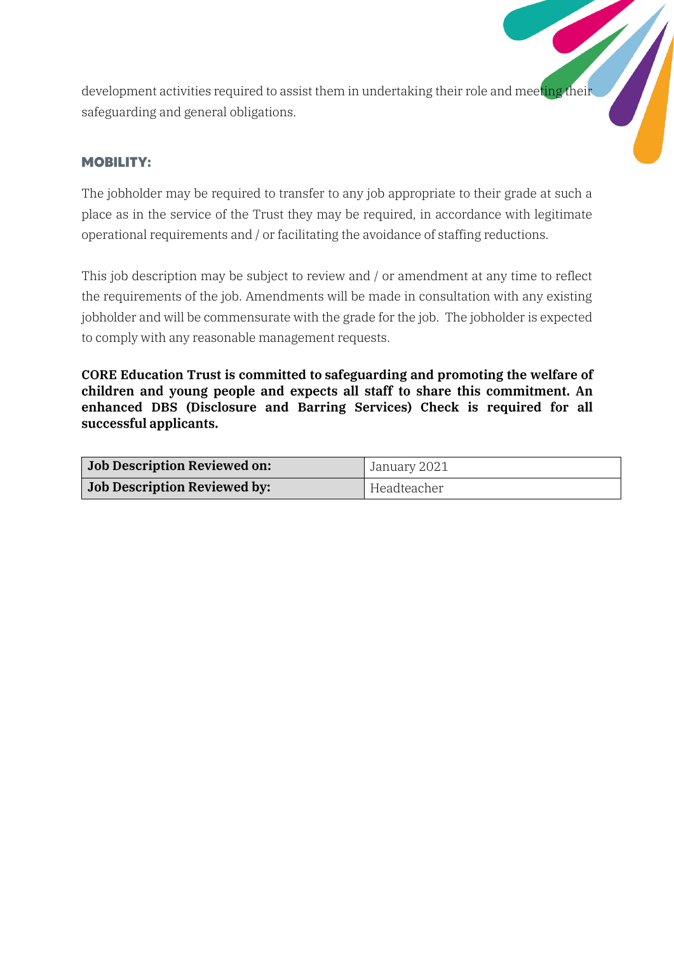development activities required to assist them in undertaking their role and meeting their safeguarding and general obligations.

# **MOBILITY:**

The jobholder may be required to transfer to any job appropriate to their grade at such a place as in the service of the Trust they may be required, in accordance with legitimate operational requirements and / or facilitating the avoidance of staffing reductions.

This job description may be subject to review and / or amendment at any time to reflect the requirements of the job. Amendments will be made in consultation with any existing jobholder and will be commensurate with the grade for the job. The jobholder is expected to comply with any reasonable management requests.

CORE Education Trust is committed to safeguarding and promoting the welfare of children and young people and expects all staff to share this commitment. An enhanced DBS (Disclosure and Barring Services) Check is required for all successful applicants.

| <b>Job Description Reviewed on:</b> | January 2021 |  |
|-------------------------------------|--------------|--|
| <b>Job Description Reviewed by:</b> | Headteacher  |  |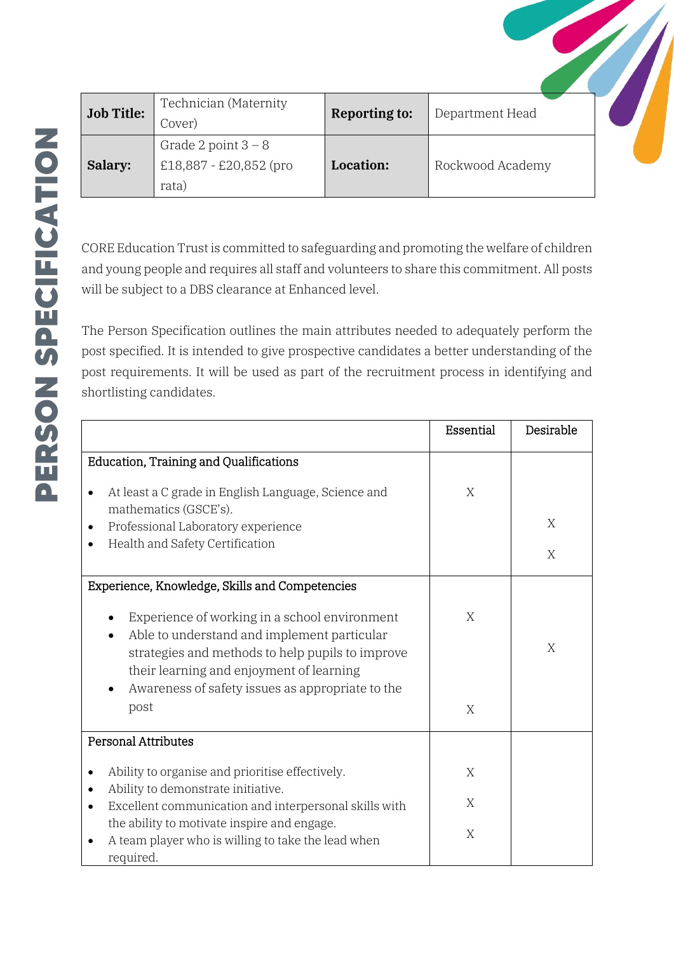| <b>Job Title:</b> | Technician (Maternity<br>Cover)                          | <b>Reporting to:</b> | Department Head  |  |
|-------------------|----------------------------------------------------------|----------------------|------------------|--|
| Salary:           | Grade 2 point $3 - 8$<br>£18,887 - £20,852 (pro<br>rata) | Location:            | Rockwood Academy |  |

CORE Education Trust is committed to safeguarding and promoting the welfare of children and young people and requires all staff and volunteers to share this commitment. All posts will be subject to a DBS clearance at Enhanced level.

The Person Specification outlines the main attributes needed to adequately perform the post specified. It is intended to give prospective candidates a better understanding of the post requirements. It will be used as part of the recruitment process in identifying and shortlisting candidates.

|                                                                                                                                                                                                                                                  | Essential | Desirable |
|--------------------------------------------------------------------------------------------------------------------------------------------------------------------------------------------------------------------------------------------------|-----------|-----------|
| <b>Education, Training and Qualifications</b>                                                                                                                                                                                                    |           |           |
| At least a C grade in English Language, Science and                                                                                                                                                                                              | X         |           |
| mathematics (GSCE's).<br>Professional Laboratory experience                                                                                                                                                                                      |           | X         |
| Health and Safety Certification                                                                                                                                                                                                                  |           | X         |
| Experience, Knowledge, Skills and Competencies                                                                                                                                                                                                   |           |           |
| Experience of working in a school environment<br>Able to understand and implement particular<br>strategies and methods to help pupils to improve<br>their learning and enjoyment of learning<br>Awareness of safety issues as appropriate to the | X         | X         |
| post                                                                                                                                                                                                                                             | X         |           |
| <b>Personal Attributes</b>                                                                                                                                                                                                                       |           |           |
| Ability to organise and prioritise effectively.                                                                                                                                                                                                  | X         |           |
| Ability to demonstrate initiative.<br>Excellent communication and interpersonal skills with                                                                                                                                                      | X         |           |
| the ability to motivate inspire and engage.<br>A team player who is willing to take the lead when<br>required.                                                                                                                                   | X         |           |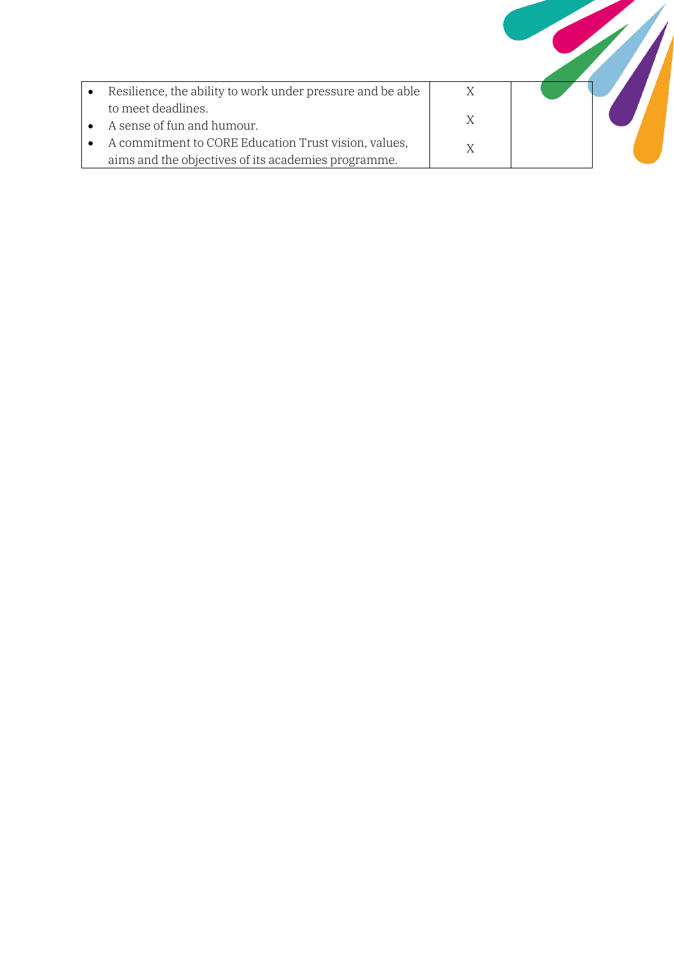| Resilience, the ability to work under pressure and be able                                                  | X |  |
|-------------------------------------------------------------------------------------------------------------|---|--|
| to meet deadlines.<br>A sense of fun and humour.                                                            | X |  |
| A commitment to CORE Education Trust vision, values,<br>aims and the objectives of its academies programme. |   |  |